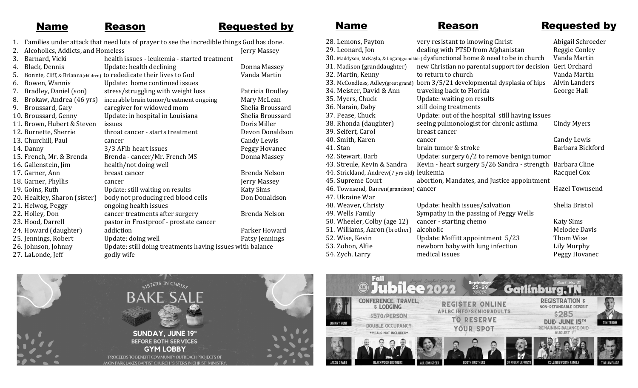# Name Reason Requested by

- 1. Families under attack that need lots of prayer to see the incredible things God has done.
- 2. Alcoholics, Addicts, and Homeless Jerry Massey 3. Barnard, Vicki health issues - leukemia - started treatment 4. Black, Dennis Update: health declining Donna Massey 5. Bonnie, Cliff, & Brianna(children) to rededicate their lives to God Vanda Martin 6. Bowen, Wannis Update: home continued issues 7. Bradley, Daniel (son) stress/struggling with weight loss Patricia Bradley<br>8. Brokaw, Andrea (46 yrs) incurable brain tumor/treatment ongoing Mary McLean 8. Brokaw, Andrea (46 yrs) incurable brain tumor/treatment ongoing Mary McLean 9. Broussard, Gary caregiver for widowed mom Shelia Broussard 10. Broussard, Genny Update: in hospital in Louisiana Shelia Broussard 11. Brown, Hubert & Steven issues and the state of the Boris Miller 12. Burnette, Sherrie throat cancer - starts treatment Devon Donaldson 13. Churchill, Paul cancer Candy Lewis 14. Danny 3/3 AFib heart issues 15. French, Mr. & Brenda Brenda - cancer/Mr. French MS Donna Massey 16. Gallenstein, Jim health/not doing well 17. Garner, Ann breast cancer and breast compared by Brenda Nelson 18. Garner, Phyllis cancer Jerry Massey 19. Goins, Ruth Update: still waiting on results Katy Sims 20. Healtley, Sharon (sister) body not producing red blood cells Don Donaldson 21. Helwog, Peggy ongoing health issues 22. Holley, Don cancer treatments after surgery Brenda Nelson 23. Hood, Darrell pastor in Frostproof - prostate cancer 24. Howard (daughter) addiction and example and parker Howard 25. Jennings, Robert Update: doing well Patsy Jennings 26. Johnson, Johnny Update: still doing treatments having issues with balance 27. LaLonde, Jeff godly wife

Name Reason Requested by

| 28. Lemons, Payton                         | very resistant to knowing Christ                                                                                  | Abigail Schroeder    |
|--------------------------------------------|-------------------------------------------------------------------------------------------------------------------|----------------------|
| 29. Leonard, Jon                           | dealing with PTSD from Afghanistan                                                                                | Reggie Conley        |
|                                            | $30.$ Maddyson, McKayla, & Logan $\left($ grandkids) $\right)$ dysfun $\left($ tional home & need to be in church | Vanda Martin         |
| 31. Madison (granddaughter)                | new Christian no parental support for decision                                                                    | Geri Orchard         |
| 32. Martin, Kenny                          | to return to church                                                                                               | Vanda Martin         |
| 33. McCondless, Adley (great grand)        | born 3/5/21 developmental dysplasia of hips                                                                       | <b>Alvin Landers</b> |
| 34. Meister, David & Ann                   | traveling back to Florida                                                                                         | George Hall          |
| 35. Myers, Chuck                           | Update: waiting on results                                                                                        |                      |
| 36. Narain, Daby                           | still doing treatments                                                                                            |                      |
| 37. Pease, Chuck                           | Update: out of the hospital still having issues                                                                   |                      |
| 38. Rhonda (daughter)                      | seeing pulmonologist for chronic asthma                                                                           | <b>Cindy Myers</b>   |
| 39. Seifert, Carol                         | breast cancer                                                                                                     |                      |
| 40. Smith, Karen                           | cancer                                                                                                            | Candy Lewis          |
| 41. Stan                                   | brain tumor & stroke                                                                                              | Barbara Bickford     |
| 42. Stewart, Barb                          | Update: surgery 6/2 to remove benign tumor                                                                        |                      |
| 43. Streule, Kevin & Sandra                | Kevin - heart surgery 5/26 Sandra - strength Barbara Cline                                                        |                      |
| 44. Strickland, Andrew(7 yrs old) leukemia |                                                                                                                   | Racquel Cox          |
| 45. Supreme Court                          | abortion, Mandates, and Justice appointment                                                                       |                      |
| 46. Townsend, Darren(grandson) cancer      |                                                                                                                   | Hazel Townsend       |
| 47. Ukraine War                            |                                                                                                                   |                      |
| 48. Weaver, Christy                        | Update: health issues/salvation                                                                                   | Shelia Bristol       |
| 49. Wells Family                           | Sympathy in the passing of Peggy Wells                                                                            |                      |
| 50. Wheeler, Colby (age 12)                | cancer - starting chemo                                                                                           | <b>Katy Sims</b>     |
| 51. Williams, Aaron (brother)              | alcoholic                                                                                                         | <b>Melodee Davis</b> |
| 52. Wise, Kevin                            | Update: Moffitt appointment 5/23                                                                                  | Thom Wise            |
| 53. Zohon, Alfie                           | newborn baby with lung infection                                                                                  | Lily Murphy          |
| 54. Zych, Larry                            | medical issues                                                                                                    | Peggy Hovanec        |
|                                            |                                                                                                                   |                      |